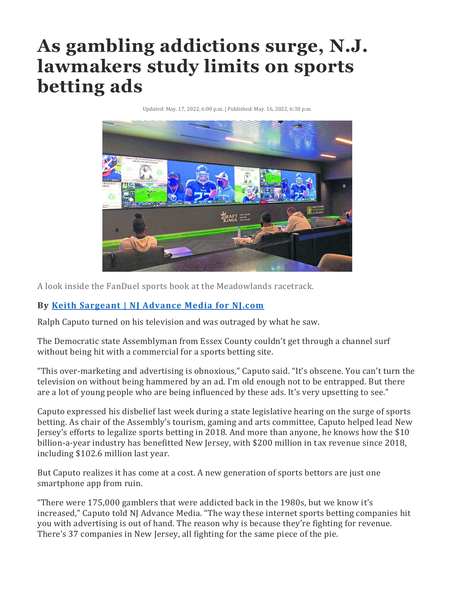## **As gambling addictions surge, N.J. lawmakers study limits on sports betting ads**

Updated: May. 17, 2022, 6:00 p.m. | Published: May. 16, 2022, 6:30 p.m.



A look inside the FanDuel sports book at the Meadowlands racetrack.

## **By Keith [Sargeant](http://www.nj.com/staff/ksargeant/posts.html) | NJ Advance Media for NJ.com**

Ralph Caputo turned on his television and was outraged by what he saw.

The Democratic state Assemblyman from Essex County couldn't get through a channel surf without being hit with a commercial for a sports betting site.

"This over-marketing and advertising is obnoxious," Caputo said. "It's obscene. You can't turn the television on without being hammered by an ad. I'm old enough not to be entrapped. But there are a lot of young people who are being influenced by these ads. It's very upsetting to see."

Caputo expressed his disbelief last week during a state legislative hearing on the surge of sports betting. As chair of the Assembly's tourism, gaming and arts committee, Caputo helped lead New Jersey's efforts to legalize sports betting in 2018. And more than anyone, he knows how the \$10 billion-a-year industry has benefitted New Jersey, with \$200 million in tax revenue since 2018, including \$102.6 million last year.

But Caputo realizes it has come at a cost. A new generation of sports bettors are just one smartphone app from ruin.

"There were 175,000 gamblers that were addicted back in the 1980s, but we know it's increased," Caputo told NJ Advance Media. "The way these internet sports betting companies hit you with advertising is out of hand. The reason why is because they're fighting for revenue. There's 37 companies in New Jersey, all fighting for the same piece of the pie.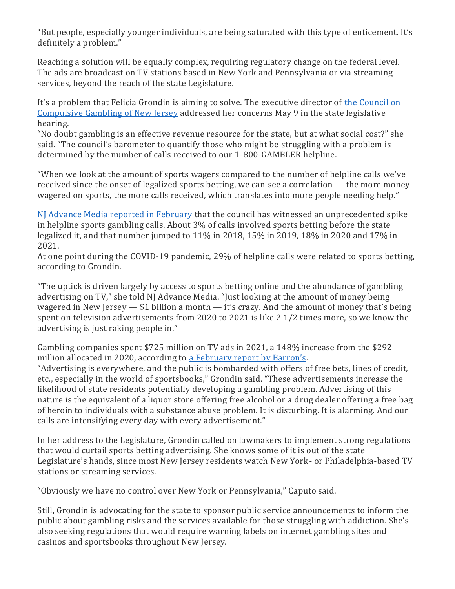"But people, especially younger individuals, are being saturated with this type of enticement. It's definitely a problem."

Reaching a solution will be equally complex, requiring regulatory change on the federal level. The ads are broadcast on TV stations based in New York and Pennsylvania or via streaming services, beyond the reach of the state Legislature.

It's a problem that Felicia Grondin is aiming to solve. The executive director of the [Council](https://800gambler.org/) on [Compulsive](https://800gambler.org/) Gambling of New Jersey addressed her concerns May 9 in the state legislative hearing.

"No doubt gambling is an effective revenue resource for the state, but at what social cost?" she said. "The council's barometer to quantify those who might be struggling with a problem is determined by the number of calls received to our 1-800-GAMBLER helpline.

"When we look at the amount of sports wagers compared to the number of helpline calls we've received since the onset of legalized sports betting, we can see a correlation — the more money wagered on sports, the more calls received, which translates into more people needing help."

NJ Advance Media reported in [February](https://www.nj.com/news/2022/02/the-hidden-addiction.html) that the council has witnessed an unprecedented spike in helpline sports gambling calls. About 3% of calls involved sports betting before the state legalized it, and that number jumped to 11% in 2018, 15% in 2019, 18% in 2020 and 17% in 2021.

At one point during the COVID-19 pandemic, 29% of helpline calls were related to sports betting, according to Grondin.

"The uptick is driven largely by access to sports betting online and the abundance of gambling advertising on TV," she told NJ Advance Media. "Just looking at the amount of money being wagered in New Jersey — \$1 billion a month — it's crazy. And the amount of money that's being spent on television advertisements from 2020 to 2021 is like 2 1/2 times more, so we know the advertising is just raking people in."

Gambling companies spent \$725 million on TV ads in 2021, a 148% increase from the \$292 million allocated in 2020, according to a [February](https://www.barrons.com/articles/new-data-show-enormous-growth-rate-in-gambling-ads-51644513956) report by Barron's.

"Advertising is everywhere, and the public is bombarded with offers of free bets, lines of credit, etc., especially in the world of sportsbooks," Grondin said. "These advertisements increase the likelihood of state residents potentially developing a gambling problem. Advertising of this nature is the equivalent of a liquor store offering free alcohol or a drug dealer offering a free bag of heroin to individuals with a substance abuse problem. It is disturbing. It is alarming. And our calls are intensifying every day with every advertisement."

In her address to the Legislature, Grondin called on lawmakers to implement strong regulations that would curtail sports betting advertising. She knows some of it is out of the state Legislature's hands, since most New Jersey residents watch New York- or Philadelphia-based TV stations or streaming services.

"Obviously we have no control over New York or Pennsylvania," Caputo said.

Still, Grondin is advocating for the state to sponsor public service announcements to inform the public about gambling risks and the services available for those struggling with addiction. She's also seeking regulations that would require warning labels on internet gambling sites and casinos and sportsbooks throughout New Jersey.